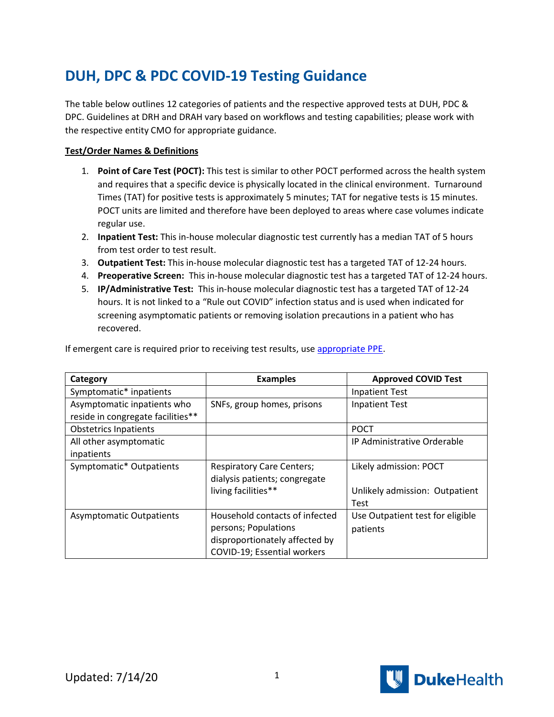## **DUH, DPC & PDC COVID-19 Testing Guidance**

The table below outlines 12 categories of patients and the respective approved tests at DUH, PDC & DPC. Guidelines at DRH and DRAH vary based on workflows and testing capabilities; please work with the respective entity CMO for appropriate guidance.

## **Test/Order Names & Definitions**

- 1. **Point of Care Test (POCT):** This test is similar to other POCT performed across the health system and requires that a specific device is physically located in the clinical environment. Turnaround Times (TAT) for positive tests is approximately 5 minutes; TAT for negative tests is 15 minutes. POCT units are limited and therefore have been deployed to areas where case volumes indicate regular use.
- 2. **Inpatient Test:** This in-house molecular diagnostic test currently has a median TAT of 5 hours from test order to test result.
- 3. **Outpatient Test:** This in-house molecular diagnostic test has a targeted TAT of 12-24 hours.
- 4. **Preoperative Screen:** This in-house molecular diagnostic test has a targeted TAT of 12-24 hours.
- 5. **IP/Administrative Test:** This in-house molecular diagnostic test has a targeted TAT of 12-24 hours. It is not linked to a "Rule out COVID" infection status and is used when indicated for screening asymptomatic patients or removing isolation precautions in a patient who has recovered.

| Category                          | <b>Examples</b>                  | <b>Approved COVID Test</b>       |
|-----------------------------------|----------------------------------|----------------------------------|
| Symptomatic* inpatients           |                                  | <b>Inpatient Test</b>            |
| Asymptomatic inpatients who       | SNFs, group homes, prisons       | <b>Inpatient Test</b>            |
| reside in congregate facilities** |                                  |                                  |
| <b>Obstetrics Inpatients</b>      |                                  | <b>POCT</b>                      |
| All other asymptomatic            |                                  | IP Administrative Orderable      |
| inpatients                        |                                  |                                  |
| Symptomatic* Outpatients          | <b>Respiratory Care Centers;</b> | Likely admission: POCT           |
|                                   | dialysis patients; congregate    |                                  |
|                                   | living facilities**              | Unlikely admission: Outpatient   |
|                                   |                                  | <b>Test</b>                      |
| <b>Asymptomatic Outpatients</b>   | Household contacts of infected   | Use Outpatient test for eligible |
|                                   | persons; Populations             | patients                         |
|                                   | disproportionately affected by   |                                  |
|                                   | COVID-19; Essential workers      |                                  |

If emergent care is required prior to receiving test results, us[e appropriate PPE.](https://covid-19.dukehealth.org/sites/covid-19.dukehealth.org/files/Inpatient%20PPE%20Donning%20Doffing--Required%20Equipment%20%288.5x11%29-COVID19_Clinical%20Education.pdf)